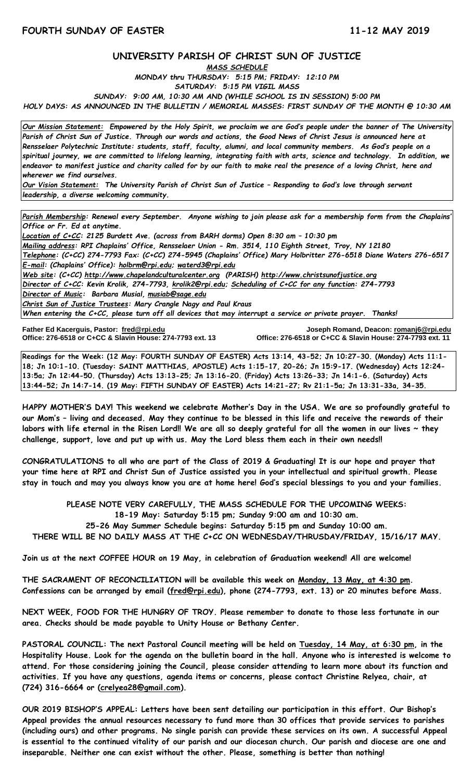## **UNIVERSITY PARISH OF CHRIST SUN OF JUSTICE**

*MASS SCHEDULE*

*MONDAY thru THURSDAY: 5:15 PM; FRIDAY: 12:10 PM*

*SATURDAY: 5:15 PM VIGIL MASS*

*SUNDAY: 9:00 AM, 10:30 AM AND (WHILE SCHOOL IS IN SESSION) 5:00 PM*

*HOLY DAYS: AS ANNOUNCED IN THE BULLETIN / MEMORIAL MASSES: FIRST SUNDAY OF THE MONTH @ 10:30 AM*

*Our Mission Statement:**Empowered by the Holy Spirit, we proclaim we are God's people under the banner of The University Parish of Christ Sun of Justice. Through our words and actions, the Good News of Christ Jesus is announced here at Rensselaer Polytechnic Institute: students, staff, faculty, alumni, and local community members. As God's people on a spiritual journey, we are committed to lifelong learning, integrating faith with arts, science and technology. In addition, we endeavor to manifest justice and charity called for by our faith to make real the presence of a loving Christ, here and wherever we find ourselves.*

*Our Vision Statement: The University Parish of Christ Sun of Justice – Responding to God's love through servant leadership, a diverse welcoming community.*

*Parish Membership: Renewal every September. Anyone wishing to join please ask for a membership form from the Chaplains' Office or Fr. Ed at anytime.*

*Location of C+CC: 2125 Burdett Ave. (across from BARH dorms) Open 8:30 am – 10:30 pm Mailing address: RPI Chaplains' Office, Rensselaer Union - Rm. 3514, 110 Eighth Street, Troy, NY 12180 Telephone: (C+CC) 274-7793 Fax: (C+CC) 274-5945 (Chaplains' Office) Mary Holbritter 276-6518 Diane Waters 276-6517 E-mail: (Chaplains' Office): [holbrm@rpi.edu;](mailto:holbrm@rpi.edu) waterd3@rpi.edu Web site: (C+CC) [http://www.chapelandculturalcenter.org](http://www.chapelandculturalcenter.org/) (PARISH) http://www.christsunofjustice.org Director of C+CC: Kevin Krolik, 274-7793, krolik2@rpi.edu; Scheduling of C+CC for any function: 274-7793 Director of Music: Barbara Musial, [musiab@sage.edu](mailto:musiab@sage.edu) Christ Sun of Justice Trustees: Mary Crangle Nagy and Paul Kraus When entering the C+CC, please turn off all devices that may interrupt a service or private prayer. Thanks!* 

**Father Ed Kacerguis, Pastor: [fred@rpi.edu](mailto:fred@rpi.edu) Joseph Romand, Deacon[: romanj6@rpi.edu](mailto:romanj6@rpi.edu) Office: 276-6518 or C+CC & Slavin House: 274-7793 ext. 13** 

**Readings for the Week: (12 May: FOURTH SUNDAY OF EASTER) Acts 13:14, 43-52; Jn 10:27-30. (Monday) Acts 11:1- 18; Jn 10:1-10. (Tuesday: SAINT MATTHIAS, APOSTLE) Acts 1:15-17, 20-26; Jn 15:9-17. (Wednesday) Acts 12:24- 13:5a; Jn 12:44-50. (Thursday) Acts 13:13-25; Jn 13:16-20. (Friday) Acts 13:26-33; Jn 14:1-6. (Saturday) Acts 13:44-52; Jn 14:7-14. (19 May: FIFTH SUNDAY OF EASTER) Acts 14:21-27; Rv 21:1-5a; Jn 13:31-33a, 34-35.**

**HAPPY MOTHER'S DAY! This weekend we celebrate Mother's Day in the USA. We are so profoundly grateful to our Mom's – living and deceased. May they continue to be blessed in this life and receive the rewards of their labors with life eternal in the Risen Lord!! We are all so deeply grateful for all the women in our lives ~ they challenge, support, love and put up with us. May the Lord bless them each in their own needs!!**

**CONGRATULATIONS to all who are part of the Class of 2019 & Graduating! It is our hope and prayer that your time here at RPI and Christ Sun of Justice assisted you in your intellectual and spiritual growth. Please stay in touch and may you always know you are at home here! God's special blessings to you and your families.**

**PLEASE NOTE VERY CAREFULLY, THE MASS SCHEDULE FOR THE UPCOMING WEEKS: 18-19 May: Saturday 5:15 pm; Sunday 9:00 am and 10:30 am. 25-26 May Summer Schedule begins: Saturday 5:15 pm and Sunday 10:00 am. THERE WILL BE NO DAILY MASS AT THE C+CC ON WEDNESDAY/THRUSDAY/FRIDAY, 15/16/17 MAY.**

**Join us at the next COFFEE HOUR on 19 May, in celebration of Graduation weekend! All are welcome!** 

**THE SACRAMENT OF RECONCILIATION will be available this week on Monday, 13 May, at 4:30 pm. Confessions can be arranged by email [\(fred@rpi.edu\)](mailto:fred@rpi.edu), phone (274-7793, ext. 13) or 20 minutes before Mass.**

**NEXT WEEK, FOOD FOR THE HUNGRY OF TROY. Please remember to donate to those less fortunate in our area. Checks should be made payable to Unity House or Bethany Center.** 

**PASTORAL COUNCIL: The next Pastoral Council meeting will be held on Tuesday, 14 May, at 6:30 pm, in the Hospitality House. Look for the agenda on the bulletin board in the hall. Anyone who is interested is welcome to attend. For those considering joining the Council, please consider attending to learn more about its function and activities. If you have any questions, agenda items or concerns, please contact Christine Relyea, chair, at (724) 316-6664 or [\(crelyea28@gmail.com\)](mailto:crelyea28@gmail.com).**

**OUR 2019 BISHOP'S APPEAL: Letters have been sent detailing our participation in this effort. Our Bishop's Appeal provides the annual resources necessary to fund more than 30 offices that provide services to parishes (including ours) and other programs. No single parish can provide these services on its own. A successful Appeal is essential to the continued vitality of our parish and our diocesan church. Our parish and diocese are one and inseparable. Neither one can exist without the other. Please, something is better than nothing!**